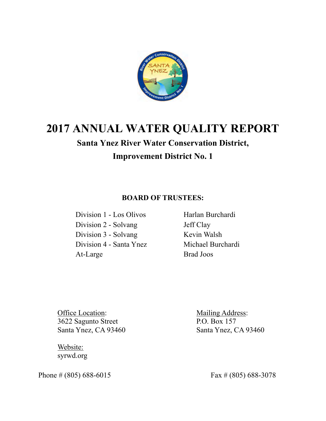

# **2017 ANNUAL WATER QUALITY REPORT**

# **Santa Ynez River Water Conservation District, Improvement District No. 1**

# **BOARD OF TRUSTEES:**

 Division 1 - Los Olivos Harlan Burchardi Division 2 - Solvang Jeff Clay Division 3 - Solvang Kevin Walsh Division 4 - Santa Ynez Michael Burchardi At-Large Brad Joos

Office Location: Mailing Address: 3622 Sagunto Street P.O. Box 157 Santa Ynez, CA 93460 Santa Ynez, CA 93460

 Website: syrwd.org

Phone  $\# (805) 688-6015$  Fax  $\# (805) 688-3078$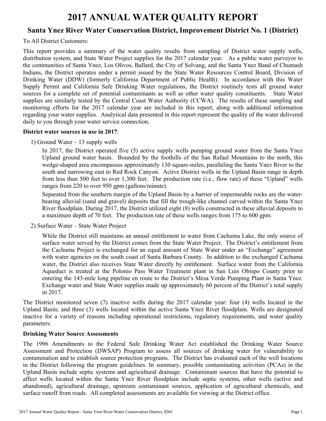# **2017 ANNUAL WATER QUALITY REPORT**

# **Santa Ynez River Water Conservation District, Improvement District No. 1 (District)**

# To All District Customers:

This report provides a summary of the water quality results from sampling of District water supply wells, distribution system, and State Water Project supplies for the 2017 calendar year. As a public water purveyor to the communities of Santa Ynez, Los Olivos, Ballard, the City of Solvang, and the Santa Ynez Band of Chumash Indians, the District operates under a permit issued by the State Water Resources Control Board, Division of Drinking Water (DDW) (formerly California Department of Public Health). In accordance with this Water Supply Permit and California Safe Drinking Water regulations, the District routinely tests all ground water sources for a complete set of potential contaminants as well as other water quality constituents. State Water supplies are similarly tested by the Central Coast Water Authority (CCWA). The results of these sampling and monitoring efforts for the 2017 calendar year are included in this report, along with additional information regarding your water supplies. Analytical data presented in this report represent the quality of the water delivered daily to you through your water service connection.

# **District water sources in use in 2017**:

1) Ground Water – 13 supply wells

In 2017, the District operated five (5) active supply wells pumping ground water from the Santa Ynez Upland ground water basin. Bounded by the foothills of the San Rafael Mountains to the north, this wedge-shaped area encompasses approximately 130 square-miles, paralleling the Santa Ynez River to the south and narrowing east to Red Rock Canyon. Active District wells in the Upland Basin range in depth from less than 500 feet to over 1,300 feet. The production rate (i.e., flow rate) of these "Upland" wells ranges from 220 to over 950 gpm (gallons/minute).

Separated from the southern margin of the Upland Basin by a barrier of impermeable rocks are the waterbearing alluvial (sand and gravel) deposits that fill the trough-like channel carved within the Santa Ynez River floodplain. During 2017, the District utilized eight (8) wells constructed in these alluvial deposits to a maximum depth of 70 feet. The production rate of these wells ranges from 175 to 600 gpm.

2) Surface Water – State Water Project

While the District still maintains an annual entitlement to water from Cachuma Lake, the only source of surface water served by the District comes from the State Water Project. The District's entitlement from the Cachuma Project is exchanged for an equal amount of State Water under an "Exchange" agreement with water agencies on the south coast of Santa Barbara County. In addition to the exchanged Cachuma water, the District also receives State Water directly by entitlement. Surface water from the California Aqueduct is treated at the Polonio Pass Water Treatment plant in San Luis Obispo County prior to entering the 143-mile long pipeline en route to the District's Mesa Verde Pumping Plant in Santa Ynez. Exchange water and State Water supplies made up approximately 60 percent of the District's total supply in 2017.

The District monitored seven (7) inactive wells during the 2017 calendar year: four (4) wells located in the Upland Basin; and three (3) wells located within the active Santa Ynez River floodplain. Wells are designated inactive for a variety of reasons including operational restrictions, regulatory requirements, and water quality parameters.

# **Drinking Water Source Assessments**

The 1996 Amendments to the Federal Safe Drinking Water Act established the Drinking Water Source Assessment and Protection (DWSAP) Program to assess all sources of drinking water for vulnerability to contamination and to establish source protection programs. The District has evaluated each of the well locations in the District following the program guidelines. In summary, possible contaminating activities (PCAs) in the Upland Basin include septic systems and agricultural drainage. Contaminant sources that have the potential to affect wells located within the Santa Ynez River floodplain include septic systems, other wells (active and abandoned), agricultural drainage, upstream contaminant sources, application of agricultural chemicals, and surface runoff from roads. All completed assessments are available for viewing at the District office.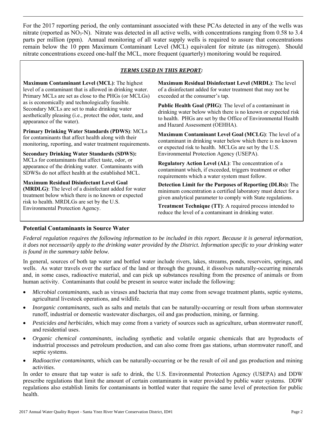For the 2017 reporting period, the only contaminant associated with these PCAs detected in any of the wells was nitrate (reported as  $NO_3-N$ ). Nitrate was detected in all active wells, with concentrations ranging from 0.58 to 3.4 parts per million (ppm). Annual monitoring of all water supply wells is required to assure that concentrations remain below the 10 ppm Maximum Contaminant Level (MCL) equivalent for nitrate (as nitrogen). Should nitrate concentrations exceed one-half the MCL, more frequent (quarterly) monitoring would be required.

# *TERMS USED IN THIS REPORT:*

**Maximum Contaminant Level (MCL)**: The highest level of a contaminant that is allowed in drinking water. Primary MCLs are set as close to the PHGs (or MCLGs) as is economically and technologically feasible. Secondary MCLs are set to make drinking water aesthetically pleasing (i.e., protect the odor, taste, and appearance of the water).

**Primary Drinking Water Standards (PDWS)**: MCLs for contaminants that affect health along with their monitoring, reporting, and water treatment requirements.

**Secondary Drinking Water Standards (SDWS):**  MCLs for contaminants that affect taste, odor, or appearance of the drinking water. Contaminants with SDWSs do not affect health at the established MCL.

**Maximum Residual Disinfectant Level Goal (MRDLG)**: The level of a disinfectant added for water treatment below which there is no known or expected risk to health. MRDLGs are set by the U.S. Environmental Protection Agency.

**Maximum Residual Disinfectant Level (MRDL)**: The level of a disinfectant added for water treatment that may not be exceeded at the consumer's tap.

**Public Health Goal (PHG)**: The level of a contaminant in drinking water below which there is no known or expected risk to health. PHGs are set by the Office of Environmental Health and Hazard Assessment (OEHHA).

**Maximum Contaminant Level Goal (MCLG)**: The level of a contaminant in drinking water below which there is no known or expected risk to health. MCLGs are set by the U.S. Environmental Protection Agency (USEPA).

**Regulatory Action Level (AL)**: The concentration of a contaminant which, if exceeded, triggers treatment or other requirements which a water system must follow.

**Detection Limit for the Purposes of Reporting (DLRs):** The minimum concentration a certified laboratory must detect for a given analytical parameter to comply with State regulations.

**Treatment Technique (TT)**: A required process intended to reduce the level of a contaminant in drinking water.

# **Potential Contaminants in Source Water**

*Federal regulation requires the following information to be included in this report. Because it is general information, it does not necessarily apply to the drinking water provided by the District. Information specific to your drinking water is found in the summary table below.* 

In general, sources of both tap water and bottled water include rivers, lakes, streams, ponds, reservoirs, springs, and wells. As water travels over the surface of the land or through the ground, it dissolves naturally-occurring minerals and, in some cases, radioactive material, and can pick up substances resulting from the presence of animals or from human activity. Contaminants that could be present in source water include the following:

- *Microbial contaminants*, such as viruses and bacteria that may come from sewage treatment plants, septic systems, agricultural livestock operations, and wildlife.
- *Inorganic contaminants*, such as salts and metals that can be naturally-occurring or result from urban stormwater runoff, industrial or domestic wastewater discharges, oil and gas production, mining, or farming.
- *Pesticides and herbicides*, which may come from a variety of sources such as agriculture, urban stormwater runoff, and residential uses.
- *Organic chemical contaminants*, including synthetic and volatile organic chemicals that are byproducts of industrial processes and petroleum production, and can also come from gas stations, urban stormwater runoff, and septic systems.
- *Radioactive contaminants*, which can be naturally-occurring or be the result of oil and gas production and mining activities.

In order to ensure that tap water is safe to drink, the U.S. Environmental Protection Agency (USEPA) and DDW prescribe regulations that limit the amount of certain contaminants in water provided by public water systems. DDW regulations also establish limits for contaminants in bottled water that require the same level of protection for public health.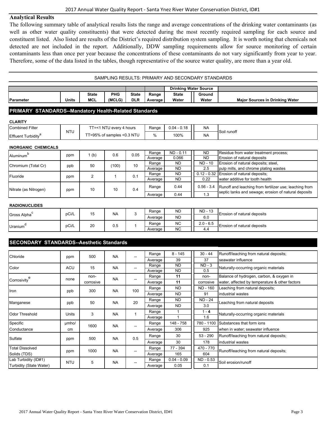### **Analytical Results**

The following summary table of analytical results lists the range and average concentrations of the drinking water contaminants (as well as other water quality constituents) that were detected during the most recently required sampling for each source and constituent listed. Also listed are results of the District's required distribution system sampling. It is worth noting that chemicals not detected are not included in the report. Additionally, DDW sampling requirements allow for source monitoring of certain contaminants less than once per year because the concentrations of these contaminants do not vary significantly from year to year. Therefore, some of the data listed in the tables, though representative of the source water quality, are more than a year old.

| SAMPLING RESULTS: PRIMARY AND SECONDARY STANDARDS |       |                            |                      |                            |                  |                              |  |                        |                                        |  |  |  |
|---------------------------------------------------|-------|----------------------------|----------------------|----------------------------|------------------|------------------------------|--|------------------------|----------------------------------------|--|--|--|
|                                                   |       |                            |                      |                            |                  | <b>Drinking Water Source</b> |  |                        |                                        |  |  |  |
| Parameter                                         | Units | <b>State</b><br><b>MCL</b> | <b>PHG</b><br>(MCLG) | <b>State</b><br><b>DLR</b> | Range<br>Average | <b>State</b><br>Water        |  | <b>Ground</b><br>Water | <b>Maior Sources in Drinking Water</b> |  |  |  |
|                                                   |       |                            |                      |                            |                  |                              |  |                        |                                        |  |  |  |

#### **PRIMARY STANDARDS--Mandatory Health-Related Standards**

#### **CLARITY**

| <b>Combined Filter</b>    | <b>NTU</b> | ' NTL<br>Г=<1<br>l everv<br>hours<br>∸ | Range | $0.04 -$<br>0.18 | <b>NA</b> |             |
|---------------------------|------------|----------------------------------------|-------|------------------|-----------|-------------|
| <b>Effluent Turbidity</b> |            | 6 of samples <0.3 NTU<br>F=95%<br>$-$  | %     | 100%             | <b>NA</b> | Soil runoff |

#### **INORGANIC CHEMICALS**

|                       |                         | $($ b) | 0.6       | 0.05                        | Range   | ND - 0.11 | <b>ND</b>    | Residue from water treatment process;                  |
|-----------------------|-------------------------|--------|-----------|-----------------------------|---------|-----------|--------------|--------------------------------------------------------|
| Aluminum <sup>-</sup> | ppm<br>0.066<br>Average |        | <b>ND</b> | Erosion of natural deposits |         |           |              |                                                        |
| Chromium (Total Cr)   | ppb                     | 50     | (100)     | 10                          | Range   | <b>ND</b> | ND - 10      | Erosion of natural deposits; steel,                    |
|                       |                         |        |           |                             | Average | ND.       | 2.5          | pulp mills, and chrome plating wastes                  |
| Fluoride              | ppm                     | ▵      |           | 0.1                         | Range   | <b>ND</b> |              | 0.12 - 0.32 Erosion of natural deposits;               |
|                       |                         |        |           |                             | Average | <b>ND</b> | 0.22         | water additive for tooth health                        |
| Nitrate (as Nitrogen) | ppm                     | 10     | 10        | 0.4                         | Range   | 0.44      | $0.56 - 3.4$ | Runoff and leaching from fertilizer use; leaching from |
|                       |                         |        |           |                             | Average | 0.44      | 1.3          | septic tanks and sewage; erosion of natural deposits   |

#### **RADIONUCLIDES**

| Gross Alpha    | pCi/L | 15 | <b>NA</b>  | $\sim$ | Range   | <b>ND</b> | ND - 13     | -Erosion of natural deposits  |  |
|----------------|-------|----|------------|--------|---------|-----------|-------------|-------------------------------|--|
|                |       |    |            |        | Average | <b>ND</b> | 6.0         |                               |  |
| <b>Uranium</b> | pCi/L | 20 | ~ -<br>U.O |        | Range   | <b>NC</b> | $2.0 - 6.5$ | - Erosion of natural deposits |  |
|                |       |    |            |        | Average | <b>NC</b> | 4.4         |                               |  |

# **SECONDARY STANDARDS--Aesthetic Standards**

| Chloride                | ppm        | 500       | <b>NA</b> | $\overline{\phantom{a}}$ | Range   | $8 - 145$     | $30 - 44$      | Runoff/leaching from natural deposits;         |
|-------------------------|------------|-----------|-----------|--------------------------|---------|---------------|----------------|------------------------------------------------|
|                         |            |           |           |                          | Average | 39            | 37             | seawater influence                             |
| Color                   | <b>ACU</b> | 15        | <b>NA</b> | $\overline{\phantom{a}}$ | Range   | <b>ND</b>     | $ND - 3$       | Naturally-occurring organic materials          |
|                         |            |           |           |                          | Average | <b>ND</b>     | 0.5            |                                                |
|                         | none       | non-      | <b>NA</b> | $\overline{\phantom{m}}$ | Range   | 11            | non-           | Balance of hydrogen, carbon, & oxygen in       |
| Corrosivity             |            | corrosive |           |                          | Average | 11            | corrosive      | water, affected by temperature & other factors |
| Iron                    |            | 300       | <b>NA</b> | 100                      | Range   | <b>ND</b>     | ND - 160       | Leaching from natural deposits;                |
|                         | ppb        |           |           |                          | Average | <b>ND</b>     | 91             | industrial wastes                              |
| Manganese               | ppb        | 50        | <b>NA</b> | 20                       | Range   | <b>ND</b>     | <b>ND - 24</b> |                                                |
|                         |            |           |           |                          | Average | <b>ND</b>     | 3.0            | Leaching from natural deposits                 |
|                         | Units      | 3         | <b>NA</b> |                          | Range   |               | $1 - 4$        |                                                |
| <b>Odor Threshold</b>   |            |           |           |                          | Average |               | 1.6            | Naturally-occurring organic materials          |
| Specific                | umho/      | 1600      | <b>NA</b> |                          | Range   | 148 - 758     | 780 - 1100     | Substances that form ions                      |
| Conductance             | cm         |           |           |                          | Average | 306           | 925            | when in water; seawater influence              |
| Sulfate                 |            | 500       | <b>NA</b> | 0.5                      | Range   | 30            | $53 - 290$     | Runoff/leaching from natural deposits;         |
|                         | ppm        |           |           |                          | Average | 30            | 178            | industrial wastes                              |
| <b>Total Dissolved</b>  |            |           |           |                          | Range   | 77 - 394      | 470 - 770      |                                                |
| Solids (TDS)            | ppm        | 1000      | <b>NA</b> | $\hspace{0.05cm}$        | Average | 165           | 604            | Runoff/leaching from natural deposits;         |
| Lab Turbidity (ID#1)    |            | 5         | <b>NA</b> |                          | Range   | $0.04 - 0.09$ | ND - 0.53      | Soil erosion/runoff                            |
| Turbidity (State Water) | <b>NTU</b> |           |           | --                       | Average | 0.05          | 0.1            |                                                |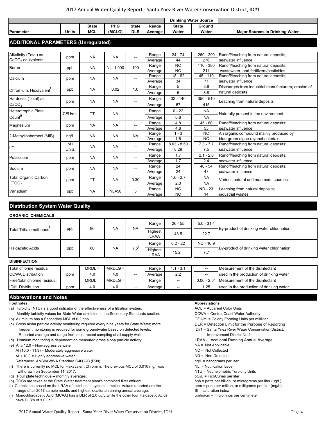#### 2017 Annual Water Quality Report ‐ Santa Ynez River Water Conservation District, ID#1

|                                            |              |              |           |                          |         | <b>Drinking Water Source</b> |              |                                                      |  |
|--------------------------------------------|--------------|--------------|-----------|--------------------------|---------|------------------------------|--------------|------------------------------------------------------|--|
|                                            |              | <b>State</b> | PHG       | <b>State</b>             | Range   | <b>State</b>                 | Ground       |                                                      |  |
| <b>Parameter</b>                           | <b>Units</b> | <b>MCL</b>   | (MCLG)    | <b>DLR</b>               | Average | Water                        | Water        | <b>Major Sources in Drinking Water</b>               |  |
|                                            |              |              |           |                          |         |                              |              |                                                      |  |
| <b>ADDITIONAL PARAMETERS (Unregulated)</b> |              |              |           |                          |         |                              |              |                                                      |  |
|                                            |              |              |           |                          |         |                              |              |                                                      |  |
| Alkalinity (Total) as                      |              | <b>NA</b>    | <b>NA</b> | --                       | Range   | $24 - 74$                    | 260 - 290    | Runoff/leaching from natural deposits;               |  |
| $CaCO3$ equivalents                        | ppm          |              |           |                          | Average | 44                           | 276          | seawater influence                                   |  |
| Boron                                      | ppb          | <b>NA</b>    | NL=1,000  | 100                      | Range   | <b>NC</b>                    | $110 - 380$  | Runoff/leaching from natural deposits;               |  |
|                                            |              |              |           |                          | Average | <b>NC</b>                    | 211          | wastewater, and fertilizers/pesticides.              |  |
| Calcium                                    | ppm          | <b>NA</b>    | <b>NA</b> | $\overline{\phantom{a}}$ | Range   | $18 - 62$                    | $45 - 110$   | Runoff/leaching from natural deposits;               |  |
|                                            |              |              |           |                          | Average | 34                           | 77           | seawater influence                                   |  |
| Chromium, Hexavalent                       | ppb          | <b>NA</b>    | 0.02      | 1.0                      | Range   | 5                            | 8.8          | Discharges from industrial manufacturers; erosion of |  |
|                                            |              |              |           |                          | Average | 5                            | 8.8          | natural deposits                                     |  |
| Hardness (Total) as                        |              | <b>NA</b>    | <b>NA</b> | --                       | Range   | $32 - 140$                   | $350 - 510$  | Leaching from natural deposits                       |  |
| CaCO <sub>3</sub>                          | ppm          |              |           |                          | Average | 67                           | 415          |                                                      |  |
| <b>Heterotrophic Plate</b>                 |              |              |           |                          | Range   | $0 - 22$                     | <b>NA</b>    | Naturally present in the environment                 |  |
| County                                     | CFU/mL       | <b>TT</b>    | <b>NA</b> | --                       | Average | 0.8                          | <b>NA</b>    |                                                      |  |
|                                            |              |              |           |                          | Range   | 4.8                          | $45 - 60$    | Runoff/leaching from natural deposits;               |  |
| Magnesium                                  | ppm          | <b>NA</b>    | <b>NA</b> | --                       | Average | 4.8                          | 55           | seawater influence                                   |  |
| 2-Methylisoborneol (MIB)                   | ng/L         | <b>NA</b>    | <b>NA</b> | <b>NA</b>                | Range   | $1 - 3$                      | <b>NC</b>    | An organic compound mainly produced by               |  |
|                                            |              |              |           |                          | Average | 1.6                          | <b>NC</b>    | blue-green algae (cyanobacteria)                     |  |
| pH                                         | pH           | <b>NA</b>    | <b>NA</b> | --                       | Range   | $8.03 - 8.50$                | $7.3 - 7.7$  | Runoff/leaching from natural deposits;               |  |
|                                            | Units        |              |           |                          | Average | 8.29                         | 7.5          | seawater influence                                   |  |
| Potassium                                  | ppm          | <b>NA</b>    | <b>NA</b> | --                       | Range   | 1.7                          | $2.1 - 2.6$  | Runoff/leaching from natural deposits;               |  |
|                                            |              |              |           |                          | Average | 1.7                          | 2.4          | seawater influence                                   |  |
| Sodium                                     | ppm          | <b>NA</b>    | <b>NA</b> | $\overline{\phantom{a}}$ | Range   | 24                           | $40 - 54$    | Runoff/leaching from natural deposits;               |  |
|                                            |              |              |           |                          | Average | 24                           | 47           | seawater influence                                   |  |
| <b>Total Organic Carbon</b>                | ppm          | <b>TT</b>    | <b>NA</b> | 0.30                     | Range   | $1.6 - 2.7$                  | <b>NA</b>    | Various natural and manmade sources.                 |  |
| (TOC)'                                     |              |              |           |                          | Average | 2.0                          | <b>NA</b>    |                                                      |  |
| Vanadium                                   |              |              | $NL = 50$ | 3                        | Range   | <b>NC</b>                    | <b>ND-23</b> | Leaching from natural deposits;                      |  |
|                                            | ppb          | <b>NA</b>    |           |                          | Average | <b>NC</b>                    | 14           | industrial wastes                                    |  |

### **Distribution System Water Quality**

#### **ORGANIC CHEMICALS**

|                         |     |    |           |                | Range           | $26 - 55$    | $5.0 - 31.4$ |                                           |  |  |
|-------------------------|-----|----|-----------|----------------|-----------------|--------------|--------------|-------------------------------------------|--|--|
| Total Trihalomethanes   | ppb | 80 | <b>NA</b> | <b>NA</b>      | Highest<br>LRAA | 22.7<br>43.5 |              | By-product of drinking water chlorination |  |  |
|                         |     |    |           |                | Range           | $6.2 - 22$   | ND - 16.9    |                                           |  |  |
| <b>Haloacetic Acids</b> | ppb | 60 | <b>NA</b> | $1,2^{\prime}$ | Highest<br>LRAA | 15.2         | 7.7          | By-product of drinking water chlorination |  |  |
| <b>DICINEECTION</b>     |     |    |           |                |                 |              |              |                                           |  |  |

#### **DISINFECTION**

| Total chlorine residual      |     | $MRDL =$ | $MRDLG =$ |                          | Range   | . . 1 - 3.1     | $\overline{\phantom{a}}$ | Measurement of the disinfectant             |  |  |
|------------------------------|-----|----------|-----------|--------------------------|---------|-----------------|--------------------------|---------------------------------------------|--|--|
| <b>CCWA Distribution</b>     | ppm | 4.0      | 4.0       | $\overline{\phantom{m}}$ | Average | ററ<br><u>.</u>  | $\sim$                   | used in the production of drinking water    |  |  |
| Free/total chlorine residual |     | $MRDL =$ | $MRDLG =$ |                          | Range   | $\qquad \qquad$ |                          | 0.06 - 2.54 Measurement of the disinfectant |  |  |
| <b>ID#1 Distribution</b>     | ppm | 4.0      | 4.0       | $- -$                    | Average | $\qquad \qquad$ | . 25                     | used in the production of drinking water    |  |  |

#### **Abbrevations and Notes**

(a) Turbidity (NTU) is a good indicator of the effectiveness of a filtration system. ACU = Apparent Color Units

- Monthly turbidity values for State Water are listed in the Secondary Standards section. CCWA = Central Coast Water Authority (b) Aluminum has a Secondary MCL of 0.2 ppb. CFU/ml = Colony Forming Units per milliliter
- (c) Gross alpha particle activity monitoring required every nine years for State Water; more DLR = Detection Limit for the Purpose of Reporting
- frequent monitoring is required for some groundwater based on detected levels. ID#1 = Santa Ynez River Water Conservation District, Reported average and range from most recent sampling of all supply wells. The mass of the match of the matchman District No.1
- (d) Uranium monitoring is dependent on measured gross alpha particle activity. LRAA Locational Running Annual Average
- (e)  $Al \geq 12.0$  = Non-aggressive water NA = Not Applicable
	- AI (10.0 11.9) = Moderately aggressive water NC = Not Collected
	- $AI \leq 10.0$  = Highly aggressive water  $ND = Non-Detected$
	- Reference: ANSI/AWWA Standard C400-93 (R98) ng/L = nanograms per liter
- (f) There is currently no MCL for Hexavalent Chromim. The previous MCL of 0.010 mg/l was NL = Notification Level withdrawn on September 11, 2017.<br>
Pour plate technique -- monthly averages.<br>
Pour plate technique -- monthly averages.
- (g) Pour plate technique  $-$  monthly averages.
- (h) TOCs are taken at the State Water treatment plant's combined filter effluent. ppb = parts per billion, or micrograms per liter (µg/L) Compliance based on the LRAA of distribution system samples. Values reported are the
- (i) Compliance based on the LRAA of distribution system samples. Values reported are the range of all 2017 sample results and highest locational running annual average. SI = saturation index
- (j) Monochloroacetic Acid (MCAA) has a DLR of 2.0 ug/L while the other four Haloacetic Acids µmho/cm = micromhos per centimeter have DLR's of 1.0 ug/L.

#### **Footnotes: Abbreviations**

- 
- 
- 
- 
- 
- 
- 
- 
- 
- 
- 
- 
- 
- 
- 
- 
-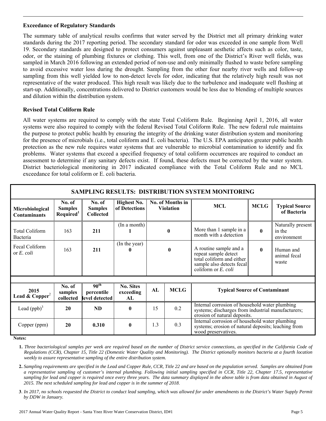### **Exceedance of Regulatory Standards**

The summary table of analytical results confirms that water served by the District met all primary drinking water standards during the 2017 reporting period. The secondary standard for odor was exceeded in one sample from Well 19. Secondary standards are designed to protect consumers against unpleasant aesthetic affects such as color, taste, odor, or the staining of plumbing fixtures or clothing. This well, from one of the District's River well fields, was sampled in March 2016 following an extended period of non-use and only minimally flushed to waste before sampling to avoid excessive water loss during the drought. Sampling from the other four nearby river wells and follow-up sampling from this well yielded low to non-detect levels for odor, indicating that the relatively high result was not representative of the water produced. This high result was likely due to the turbulence and inadequate well flushing at start-up. Additionally, concentrations delivered to District customers would be less due to blending of multiple sources and dilution within the distribution system.

# **Revised Total Coliform Rule**

All water systems are required to comply with the state Total Coliform Rule. Beginning April 1, 2016, all water systems were also required to comply with the federal Revised Total Coliform Rule. The new federal rule maintains the purpose to protect public health by ensuring the integrity of the drinking water distribution system and monitoring for the presence of microbials (i.e., total coliform and E. coli bacteria). The U.S. EPA anticipates greater public health protection as the new rule requires water systems that are vulnerable to microbial contamination to identify and fix problems. Water systems that exceed a specified frequency of total coliform occurrences are required to conduct an assessment to determine if any sanitary defects exist. If found, these defects must be corrected by the water system. District bacteriological monitoring in 2017 indicated compliance with the Total Coliform Rule and no MCL exceedance for total coliform or E. coli bacteria.

| <b>SAMPLING RESULTS: DISTRIBUTION SYSTEM MONITORING</b> |                                                   |                                                  |                                     |              |                                      |                                                                                                                                      |              |                                            |  |  |  |  |
|---------------------------------------------------------|---------------------------------------------------|--------------------------------------------------|-------------------------------------|--------------|--------------------------------------|--------------------------------------------------------------------------------------------------------------------------------------|--------------|--------------------------------------------|--|--|--|--|
| Microbiological<br><b>Contaminants</b>                  | No. of<br><b>Samples</b><br>Required <sup>1</sup> | No. of<br><b>Samples</b><br><b>Collected</b>     | <b>Highest No.</b><br>of Detections |              | No. of Months in<br><b>Violation</b> | <b>MCL</b>                                                                                                                           |              | <b>Typical Source</b><br>of Bacteria       |  |  |  |  |
| <b>Total Coliform</b><br>Bacteria                       | 163                                               | 211                                              | (In a month)                        | $\mathbf{0}$ |                                      | More than 1 sample in a<br>month with a detection                                                                                    | $\mathbf{0}$ | Naturally present<br>in the<br>environment |  |  |  |  |
| Fecal Coliform<br>or $E$ , coli                         | 163                                               | 211                                              | (In the year)<br>0                  |              | $\mathbf{0}$                         | A routine sample and a<br>repeat sample detect<br>total coliform and either<br>sample also detects fecal<br>coliform or $E$ , coli   | $\mathbf{0}$ | Human and<br>animal fecal<br>waste         |  |  |  |  |
|                                                         |                                                   |                                                  |                                     |              |                                      |                                                                                                                                      |              |                                            |  |  |  |  |
| 2015<br>Lead & Copper <sup>2</sup>                      | No. of<br>samples<br>collected                    | 90 <sup>th</sup><br>percentile<br>level detected | <b>No. Sites</b><br>exceeding<br>AL | AL           | <b>MCLG</b>                          | <b>Typical Source of Contaminant</b>                                                                                                 |              |                                            |  |  |  |  |
| Lead $(ppb)^3$                                          | 20                                                | <b>ND</b>                                        | $\mathbf{0}$                        | 15           | 0.2                                  | Internal corrosion of household water plumbing<br>systems; discharges from industrial manufacturers;<br>erosion of natural deposits. |              |                                            |  |  |  |  |
| Copper (ppm)                                            | 20                                                | 0.310                                            | $\mathbf{0}$                        | 1.3          | 0.3                                  | Internal corrosion of household water plumbing<br>systems; erosion of natural deposits; leaching from<br>wood preservatives.         |              |                                            |  |  |  |  |

**Notes:** 

**1.** *Three bacteriological samples per week are required based on the number of District service connections, as specified in the California Code of Regulations (CCR), Chapter 15, Title 22 (Domestic Water Quality and Monitoring). The District optionally monitors bacteria at a fourth location weekly to assure representative sampling of the entire distribution system.* 

**2.** *Sampling requirements are specified in the Lead and Copper Rule, CCR, Title 22 and are based on the population served. Samples are obtained from a representative sampling of customer's internal plumbing. Following initial sampling specified in CCR, Title 22, Chapter 17.5, representative sampling for lead and copper is required once every three years. The data summary displayed in the above table is from data obtained in August of 2015. The next scheduled sampling for lead and copper is in the summer of 2018*.

**3**. *In 2017, no schools requested the District to conduct lead sampling, which was allowed for under amendments to the District's Water Supply Permit by DDW in January.*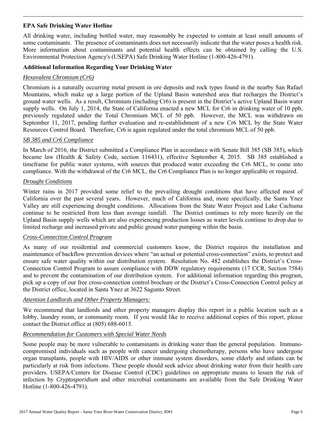# **EPA Safe Drinking Water Hotline**

All drinking water, including bottled water, may reasonably be expected to contain at least small amounts of some contaminants. The presence of contaminants does not necessarily indicate that the water poses a health risk. More information about contaminants and potential health effects can be obtained by calling the U.S. Environmental Protection Agency's (USEPA) Safe Drinking Water Hotline (1-800-426-4791).

## **Additional Information Regarding Your Drinking Water**

# *Hexavalent Chromium (Cr6)*

Chromium is a naturally occurring metal present in ore deposits and rock types found in the nearby San Rafael Mountains, which make up a large portion of the Upland Basin watershed area that recharges the District's ground water wells. As a result, Chromium (including Cr6) is present in the District's active Upland Basin water supply wells. On July 1, 2014, the State of California enacted a new MCL for Cr6 in drinking water of 10 ppb, previously regulated under the Total Chromium MCL of 50 ppb. However, the MCL was withdrawn on September 11, 2017, pending further evaluation and re-establishment of a new Cr6 MCL by the State Water Resources Control Board. Therefore, Cr6 is again regulated under the total chromium MCL of 50 ppb.

### *SB 385 and Cr6 Compliance*

In March of 2016, the District submitted a Compliance Plan in accordance with Senate Bill 385 (SB 385), which became law (Health & Safety Code, section 116431), effective September 4, 2015. SB 385 established a timeframe for public water systems, with sources that produced water exceeding the Cr6 MCL, to come into compliance. With the withdrawal of the Cr6 MCL, the Cr6 Compliance Plan is no longer applicable or required.

### *Drought Conditions*

Winter rains in 2017 provided some relief to the prevailing drought conditions that have affected most of California over the past several years. However, much of California and, more specifically, the Santa Ynez Valley are still experiencing drought conditions. Allocations from the State Water Project and Lake Cachuma continue to be restricted from less than average rainfall. The District continues to rely more heavily on the Upland Basin supply wells which are also experiencing production losses as water levels continue to drop due to limited recharge and increased private and public ground water pumping within the basin.

### *Cross-Connection Control Program*

As many of our residential and commercial customers know, the District requires the installation and maintenance of backflow prevention devices where "an actual or potential cross-connection" exists, to protect and ensure safe water quality within our distribution system. Resolution No. 482 establishes the District's Cross-Connection Control Program to assure compliance with DDW regulatory requirements (17 CCR, Section 7584) and to prevent the contamination of our distribution system. For additional information regarding this program, pick up a copy of our free cross-connection control brochure or the District's Cross-Connection Control policy at the District office, located in Santa Ynez at 3622 Sagunto Street.

### *Attention Landlords and Other Property Managers:*

We recommend that landlords and other property managers display this report in a public location such as a lobby, laundry room, or community room. If you would like to receive additional copies of this report, please contact the District office at (805) 688-6015.

### *Recommendation for Customers with Special Water Needs*

Some people may be more vulnerable to contaminants in drinking water than the general population. Immunocompromised individuals such as people with cancer undergoing chemotherapy, persons who have undergone organ transplants, people with HIV/AIDS or other immune system disorders, some elderly and infants can be particularly at risk from infections. These people should seek advice about drinking water from their health care providers. USEPA/Centers for Disease Control (CDC) guidelines on appropriate means to lessen the risk of infection by *Cryptosporidium* and other microbial contaminants are available from the Safe Drinking Water Hotline (1-800-426-4791).